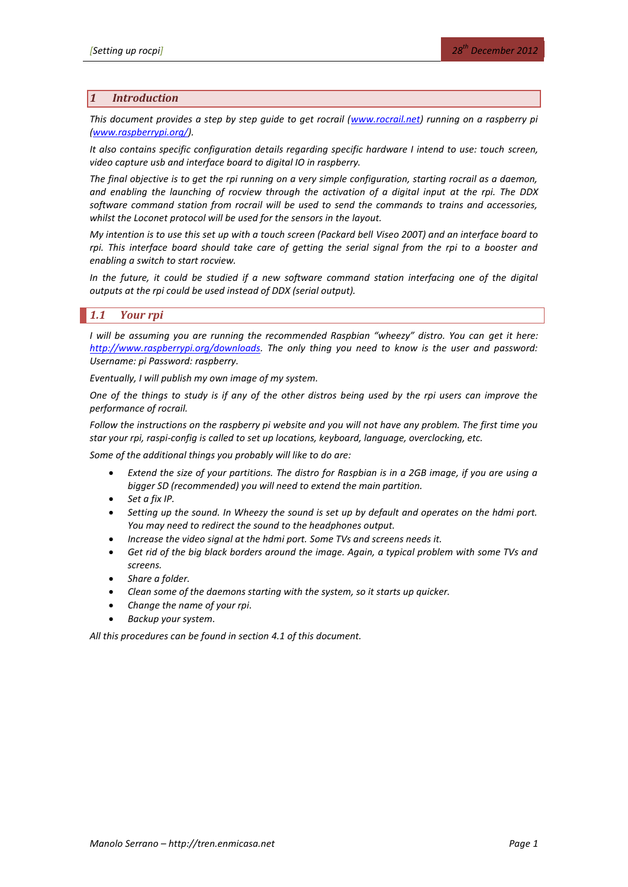## *1 Introduction*

*This document provides a step by step guide to get rocrail [\(www.rocrail.net\)](http://www.rocrail.net/) running on a raspberry pi [\(www.raspberrypi.org/\)](http://www.raspberrypi.org/).* 

*It also contains specific configuration details regarding specific hardware I intend to use: touch screen, video capture usb and interface board to digital IO in raspberry.*

*The final objective is to get the rpi running on a very simple configuration, starting rocrail as a daemon, and enabling the launching of rocview through the activation of a digital input at the rpi. The DDX software command station from rocrail will be used to send the commands to trains and accessories, whilst the Loconet protocol will be used for the sensors in the layout.*

*My intention is to use this set up with a touch screen (Packard bell Viseo 200T) and an interface board to*  rpi. This interface board should take care of getting the serial signal from the rpi to a booster and *enabling a switch to start rocview.*

*In the future, it could be studied if a new software command station interfacing one of the digital outputs at the rpi could be used instead of DDX (serial output).*

## *1.1 Your rpi*

*I* will be assuming you are running the recommended Raspbian "wheezy" distro. You can get it here: *[http://www.raspberrypi.org/downloads.](http://www.raspberrypi.org/downloads) The only thing you need to know is the user and password: Username: pi Password: raspberry.*

*Eventually, I will publish my own image of my system.*

*One of the things to study is if any of the other distros being used by the rpi users can improve the performance of rocrail.*

*Follow the instructions on the raspberry pi website and you will not have any problem. The first time you star your rpi, raspi-config is called to set up locations, keyboard, language, overclocking, etc.* 

*Some of the additional things you probably will like to do are:*

- *Extend the size of your partitions. The distro for Raspbian is in a 2GB image, if you are using a bigger SD (recommended) you will need to extend the main partition.*
- *Set a fix IP.*
- *Setting up the sound. In Wheezy the sound is set up by default and operates on the hdmi port. You may need to redirect the sound to the headphones output.*
- *Increase the video signal at the hdmi port. Some TVs and screens needs it.*
- *Get rid of the big black borders around the image. Again, a typical problem with some TVs and screens.*
- *Share a folder.*
- *Clean some of the daemons starting with the system, so it starts up quicker.*
- *Change the name of your rpi.*
- *Backup your system.*

*All this procedures can be found in sectio[n 4.1](#page-10-0) of this document.*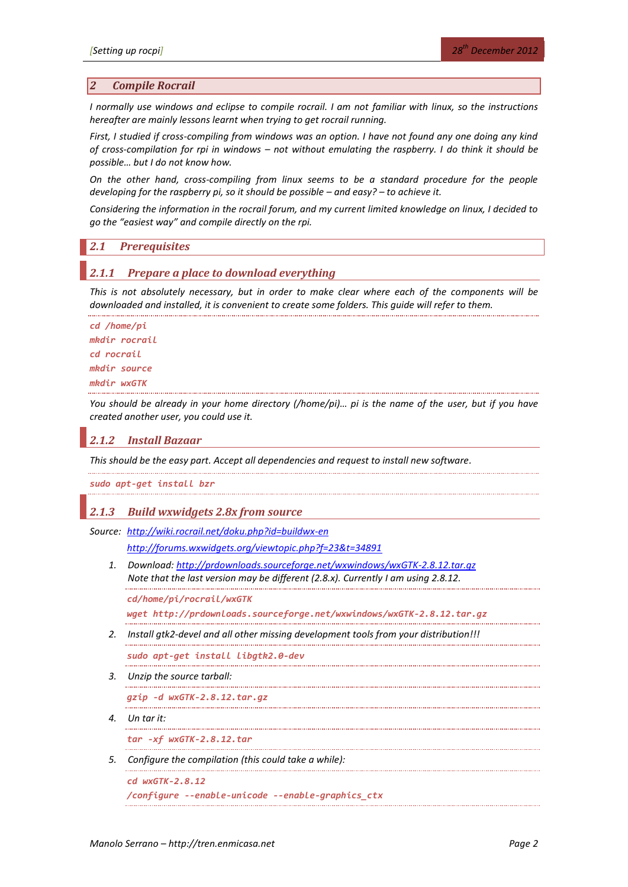### *2 Compile Rocrail*

*I normally use windows and eclipse to compile rocrail. I am not familiar with linux, so the instructions hereafter are mainly lessons learnt when trying to get rocrail running.*

*First, I studied if cross-compiling from windows was an option. I have not found any one doing any kind of cross-compilation for rpi in windows – not without emulating the raspberry. I do think it should be possible… but I do not know how.*

*On the other hand, cross-compiling from linux seems to be a standard procedure for the people developing for the raspberry pi, so it should be possible – and easy? – to achieve it.* 

*Considering the information in the rocrail forum, and my current limited knowledge on linux, I decided to go the "easiest way" and compile directly on the rpi.*

## *2.1 Prerequisites*

### *2.1.1 Prepare a place to download everything*

*This is not absolutely necessary, but in order to make clear where each of the components will be downloaded and installed, it is convenient to create some folders. This guide will refer to them.*

```
cd /home/pi
mkdir rocrail
cd rocrail
mkdir source
mkdir wxGTK
```
*You should be already in your home directory (/home/pi)... pi is the name of the user, but if you have created another user, you could use it.*

## *2.1.2 Install Bazaar*

*This should be the easy part. Accept all dependencies and request to install new software.*

*sudo apt-get install bzr*

## *2.1.3 Build wxwidgets 2.8x from source*

*Source: <http://wiki.rocrail.net/doku.php?id=buildwx-en>*

*<http://forums.wxwidgets.org/viewtopic.php?f=23&t=34891>*

*1. Download:<http://prdownloads.sourceforge.net/wxwindows/wxGTK-2.8.12.tar.gz> Note that the last version may be different (2.8.x). Currently I am using 2.8.12.*

*cd/home/pi/rocrail/wxGTK*

*wget http://prdownloads.sourceforge.net/wxwindows/wxGTK-2.8.12.tar.gz* 

*2. Install gtk2-devel and all other missing development tools from your distribution!!!*

*sudo apt-get install libgtk2.0-dev*

*3. Unzip the source tarball:*

. . . . . . . . . . . . .

.................................... *gzip -d wxGTK-2.8.12.tar.gz*

*4. Un tar it:*

*tar -xf wxGTK-2.8.12.tar*

*5. Configure the compilation (this could take a while):*

*cd wxGTK-2.8.12 /configure --enable-unicode --enable-graphics\_ctx*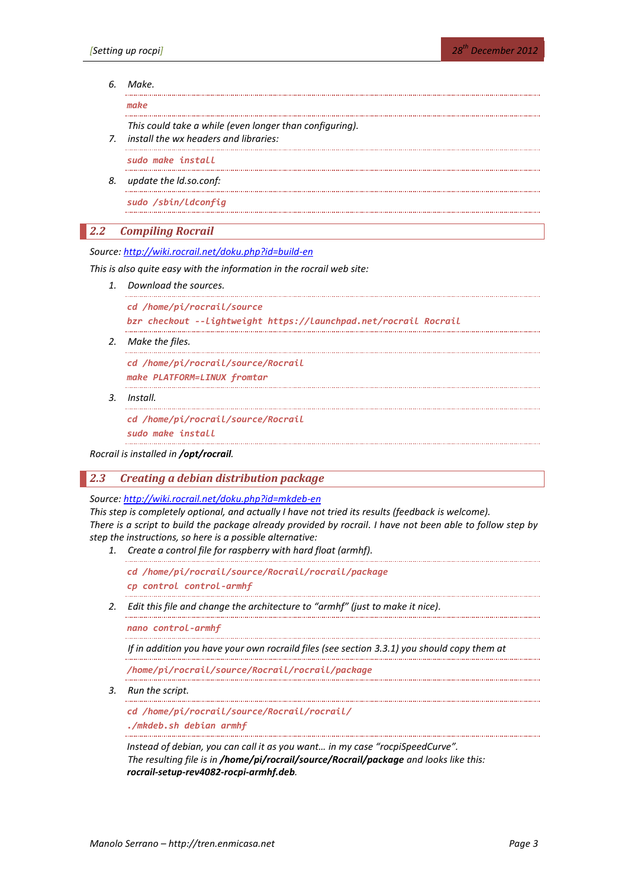## *6. Make.*

*make*

*This could take a while (even longer than configuring).*

*7. install the wx headers and libraries:*

*sudo make install*

*8. update the ld.so.conf:*

*sudo /sbin/ldconfig*

### *2.2 Compiling Rocrail*

*Source:<http://wiki.rocrail.net/doku.php?id=build-en>*

*This is also quite easy with the information in the rocrail web site:*

*1. Download the sources.*

```
cd /home/pi/rocrail/source
```

```
bzr checkout --lightweight https://launchpad.net/rocrail Rocrail
```
*2. Make the files.*

*cd /home/pi/rocrail/source/Rocrail make PLATFORM=LINUX fromtar*

*3. Install.*

*cd /home/pi/rocrail/source/Rocrail*

*sudo make install*

*Rocrail is installed in /opt/rocrail.*

## *2.3 Creating a debian distribution package*

*Source:<http://wiki.rocrail.net/doku.php?id=mkdeb-en>*

*This step is completely optional, and actually I have not tried its results (feedback is welcome). There is a script to build the package already provided by rocrail. I have not been able to follow step by step the instructions, so here is a possible alternative:*

- *1. Create a control file for raspberry with hard float (armhf).*
	- *cd /home/pi/rocrail/source/Rocrail/rocrail/package cp control control-armhf*
- *2. Edit this file and change the architecture to "armhf" (just to make it nice).*

*nano control-armhf*

*If in addition you have your own rocraild files (see section [3.3.1\)](#page-6-0) you should copy them at* 

*/home/pi/rocrail/source/Rocrail/rocrail/package*

*3. Run the script.*

*cd /home/pi/rocrail/source/Rocrail/rocrail/ ./mkdeb.sh debian armhf*

*Instead of debian, you can call it as you want… in my case "rocpiSpeedCurve". The resulting file is in /home/pi/rocrail/source/Rocrail/package and looks like this: rocrail-setup-rev4082-rocpi-armhf.deb.*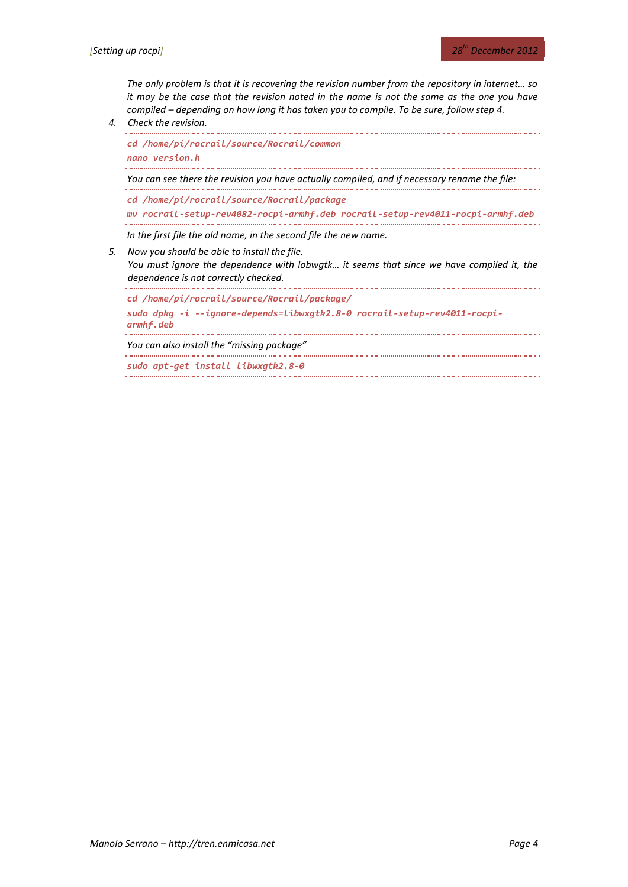*The only problem is that it is recovering the revision number from the repository in internet… so it may be the case that the revision noted in the name is not the same as the one you have compiled – depending on how long it has taken you to compile. To be sure, follow step 4.*

*4. Check the revision.*

```
cd /home/pi/rocrail/source/Rocrail/common
nano version.h
You can see there the revision you have actually compiled, and if necessary rename the file:
cd /home/pi/rocrail/source/Rocrail/package
mv rocrail-setup-rev4082-rocpi-armhf.deb rocrail-setup-rev4011-rocpi-armhf.deb
In the first file the old name, in the second file the new name.
```
*5. Now you should be able to install the file.*

*You must ignore the dependence with lobwgtk… it seems that since we have compiled it, the dependence is not correctly checked.*

*cd /home/pi/rocrail/source/Rocrail/package/*

*sudo dpkg -i --ignore-depends=libwxgtk2.8-0 rocrail-setup-rev4011-rocpiarmhf.deb*

*You can also install the "missing package"*

*sudo apt-get install libwxgtk2.8-0*. . . . . . . . . .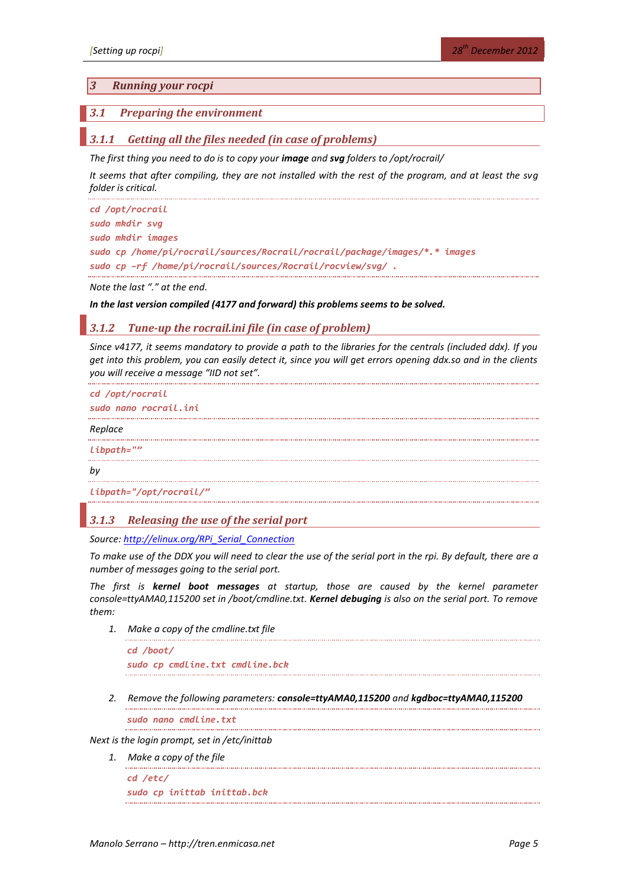## *3 Running your rocpi*

## *3.1 Preparing the environment*

## *3.1.1 Getting all the files needed (in case of problems)*

*The first thing you need to do is to copy your image and svg folders to /opt/rocrail/*

*It seems that after compiling, they are not installed with the rest of the program, and at least the svg folder is critical.*

```
cd /opt/rocrail
sudo mkdir svg
sudo mkdir images
sudo cp /home/pi/rocrail/sources/Rocrail/rocrail/package/images/*.* images
sudo cp –rf /home/pi/rocrail/sources/Rocrail/rocview/svg/ .
```
*Note the last "." at the end.*

#### *In the last version compiled (4177 and forward) this problems seems to be solved.*

### *3.1.2 Tune-up the rocrail.ini file (in case of problem)*

*Since v4177, it seems mandatory to provide a path to the libraries for the centrals (included ddx). If you get into this problem, you can easily detect it, since you will get errors opening ddx.so and in the clients you will receive a message "IID not set".*

```
cd /opt/rocrail
sudo nano rocrail.ini
Replace
libpath=""
by
libpath="/opt/rocrail/"
```
#### *3.1.3 Releasing the use of the serial port*

*Source: [http://elinux.org/RPi\\_Serial\\_Connection](http://elinux.org/RPi_Serial_Connection)*

*To make use of the DDX you will need to clear the use of the serial port in the rpi. By default, there are a number of messages going to the serial port.*

<span id="page-4-0"></span>*The first is kernel boot messages at startup, those are caused by the kernel parameter console=ttyAMA0,115200 set in /boot/cmdline.txt. Kernel debuging is also on the serial port. To remove them:*

*1. Make a copy of the cmdline.txt file*

*cd /boot/ sudo cp cmdline.txt cmdline.bck*

*2. Remove the following parameters: console=ttyAMA0,115200 and kgdboc=ttyAMA0,115200*

*sudo nano cmdline.txt*

*Next is the login prompt, set in /etc/inittab*

*1. Make a copy of the file*

*cd /etc/ sudo cp inittab inittab.bck*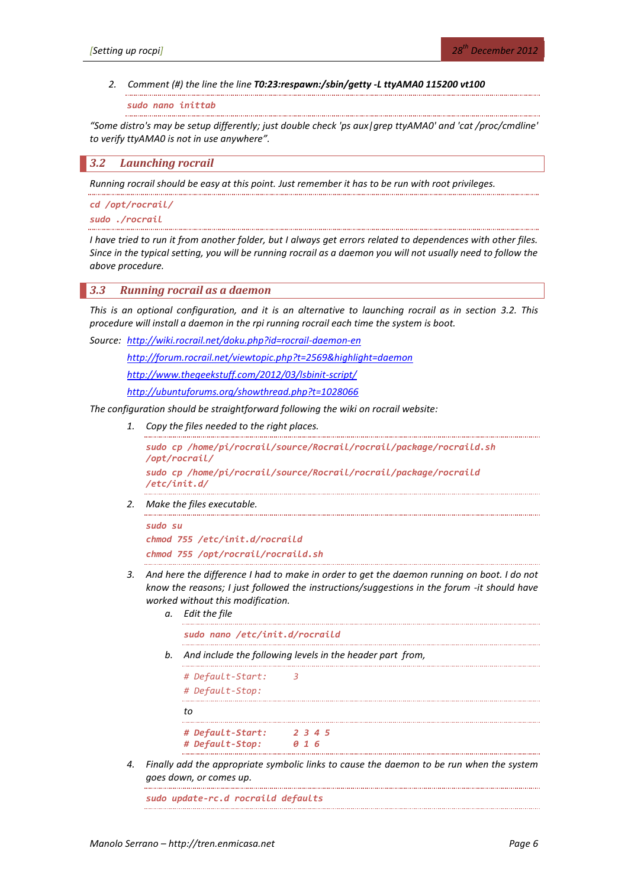#### *2. Comment (#) the line the line T0:23:respawn:/sbin/getty -L ttyAMA0 115200 vt100*

*sudo nano inittab*

*"Some distro's may be setup differently; just double check 'ps aux|grep ttyAMA0' and 'cat /proc/cmdline' to verify ttyAMA0 is not in use anywhere".*

<span id="page-5-0"></span>*3.2 Launching rocrail*

*Running rocrail should be easy at this point. Just remember it has to be run with root privileges.*

*cd /opt/rocrail/ sudo ./rocrail*

*I have tried to run it from another folder, but I always get errors related to dependences with other files. Since in the typical setting, you will be running rocrail as a daemon you will not usually need to follow the above procedure.*

### <span id="page-5-1"></span>*3.3 Running rocrail as a daemon*

*This is an optional configuration, and it is an alternative to launching rocrail as in section [3.2.](#page-5-0) This procedure will install a daemon in the rpi running rocrail each time the system is boot.*

*Source: <http://wiki.rocrail.net/doku.php?id=rocrail-daemon-en>*

*<http://forum.rocrail.net/viewtopic.php?t=2569&highlight=daemon>*

*<http://www.thegeekstuff.com/2012/03/lsbinit-script/>*

*<http://ubuntuforums.org/showthread.php?t=1028066>*

*The configuration should be straightforward following the wiki on rocrail website:*

*1. Copy the files needed to the right places.*

*sudo cp /home/pi/rocrail/source/Rocrail/rocrail/package/rocraild.sh /opt/rocrail/ sudo cp /home/pi/rocrail/source/Rocrail/rocrail/package/rocraild /etc/init.d/*

*2. Make the files executable.*

```
sudo su
chmod 755 /etc/init.d/rocraild
chmod 755 /opt/rocrail/rocraild.sh
```
- *3. And here the difference I had to make in order to get the daemon running on boot. I do not know the reasons; I just followed the instructions/suggestions in the forum -it should have worked without this modification.* 
	- *a. Edit the file sudo nano /etc/init.d/rocraild*
	- *b. And include the following levels in the header part from,*

*# Default-Start: 3 # Default-Stop: to # Default-Start: 2 3 4 5 # Default-Stop: 0 1 6*

*4. Finally add the appropriate symbolic links to cause the daemon to be run when the system goes down, or comes up.*

*sudo update-rc.d rocraild defaults*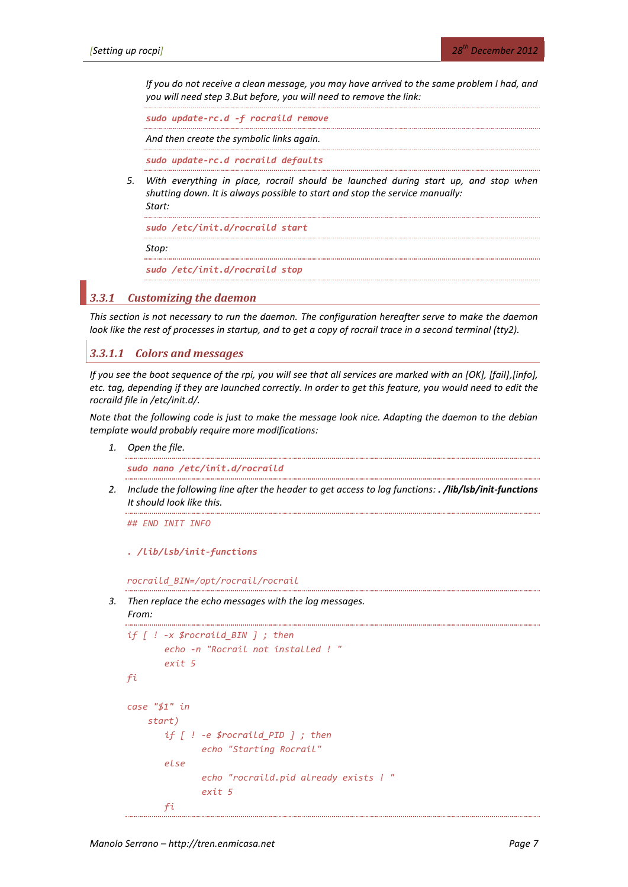*If you do not receive a clean message, you may have arrived to the same problem I had, and you will need step 3.But before, you will need to remove the link:*

*sudo update-rc.d -f rocraild remove*

*And then create the symbolic links again.*

. . . . . . . . . . . . . . . . . .

*sudo update-rc.d rocraild defaults*

*5. With everything in place, rocrail should be launched during start up, and stop when shutting down. It is always possible to start and stop the service manually: Start:*

*sudo /etc/init.d/rocraild start*

*Stop:*

*sudo /etc/init.d/rocraild stop*

## <span id="page-6-0"></span>*3.3.1 Customizing the daemon*

*This section is not necessary to run the daemon. The configuration hereafter serve to make the daemon look like the rest of processes in startup, and to get a copy of rocrail trace in a second terminal (tty2).*

## *3.3.1.1 Colors and messages*

*If you see the boot sequence of the rpi, you will see that all services are marked with an [OK], [fail],[info], etc. tag, depending if they are launched correctly. In order to get this feature, you would need to edit the rocraild file in /etc/init.d/.*

*Note that the following code is just to make the message look nice. Adapting the daemon to the debian template would probably require more modifications:*

*1. Open the file.*

*sudo nano /etc/init.d/rocraild*

*2. Include the following line after the header to get access to log functions: . /lib/lsb/init-functions It should look like this.*

*## END INIT INFO*

*. /lib/lsb/init-functions*

*rocraild\_BIN=/opt/rocrail/rocrail*

*3. Then replace the echo messages with the log messages.* 

```
From:
```

```
if [ ! -x $rocraild_BIN ] ; then
       echo -n "Rocrail not installed ! "
       exit 5
fi
case "$1" in
     start)
       if [ ! -e $rocraild_PID ] ; then
              echo "Starting Rocrail"
       else
              echo "rocraild.pid already exists ! "
              exit 5
       fi
```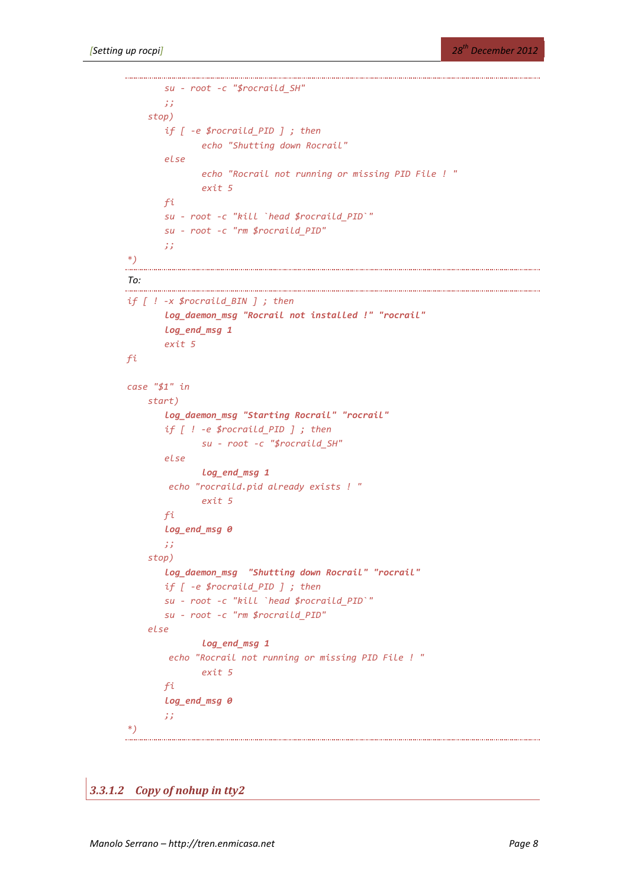```
su - root -c "$rocraild_SH"
       ;;
     stop)
       if [ -e $rocraild_PID ] ; then
              echo "Shutting down Rocrail"
       else
              echo "Rocrail not running or missing PID File ! "
              exit 5
       fi
       su - root -c "kill `head $rocraild_PID`"
       su - root -c "rm $rocraild_PID"
       ;;
*)
To:
if [ ! -x $rocraild_BIN ] ; then
       log_daemon_msg "Rocrail not installed !" "rocrail"
       log_end_msg 1
       exit 5
fi
case "$1" in
     start)
       log_daemon_msg "Starting Rocrail" "rocrail"
       if [ ! -e $rocraild_PID ] ; then
              su - root -c "$rocraild_SH"
       else
              log_end_msg 1
         echo "rocraild.pid already exists ! "
              exit 5
       fi
       log_end_msg 0
       ;;
     stop)
       log_daemon_msg "Shutting down Rocrail" "rocrail"
       if [ -e $rocraild_PID ] ; then
       su - root -c "kill `head $rocraild_PID`"
       su - root -c "rm $rocraild_PID"
     else
              log_end_msg 1
         echo "Rocrail not running or missing PID File ! "
              exit 5
       fi
       log_end_msg 0
       ;;
*)
```
*3.3.1.2 Copy of nohup in tty2*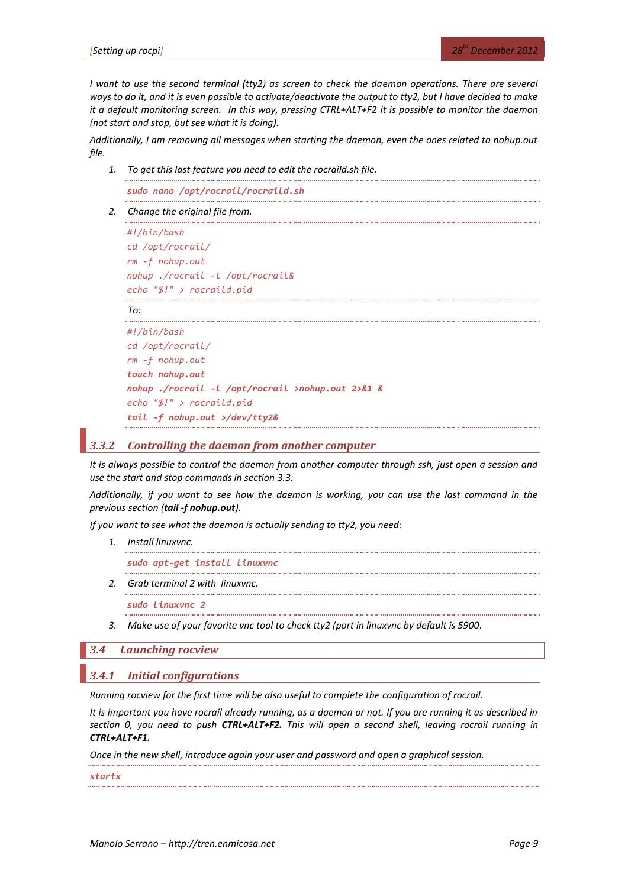*I* want to use the second terminal (tty2) as screen to check the daemon operations. There are several *ways to do it, and it is even possible to activate/deactivate the output to tty2, but I have decided to make it a default monitoring screen. In this way, pressing CTRL+ALT+F2 it is possible to monitor the daemon (not start and stop, but see what it is doing).* 

*Additionally, I am removing all messages when starting the daemon, even the ones related to nohup.out file.*

*1. To get this last feature you need to edit the rocraild.sh file.*

*sudo nano /opt/rocrail/rocraild.sh*

*2. Change the original file from.*

```
#!/bin/bash
cd /opt/rocrail/
rm -f nohup.out
nohup ./rocrail -l /opt/rocrail&
echo "$!" > rocraild.pid
```
#### *To:*

```
#!/bin/bash
cd /opt/rocrail/
rm -f nohup.out
touch nohup.out
nohup ./rocrail -l /opt/rocrail >nohup.out 2>&1 &
echo "$!" > rocraild.pid
tail -f nohup.out >/dev/tty2&
```
## *3.3.2 Controlling the daemon from another computer*

*It is always possible to control the daemon from another computer through ssh, just open a session and use the start and stop commands in section [3.3.](#page-5-1)*

*Additionally, if you want to see how the daemon is working, you can use the last command in the previous section (tail -f nohup.out).*

*If you want to see what the daemon is actually sending to tty2, you need:*

*1. Install linuxvnc.*

*sudo apt-get install linuxvnc*

*2. Grab terminal 2 with linuxvnc.*

*sudo linuxvnc 2*

*3. Make use of your favorite vnc tool to check tty2 (port in linuxvnc by default is 5900.*

### *3.4 Launching rocview*

#### <span id="page-8-0"></span>*3.4.1 Initial configurations*

*Running rocview for the first time will be also useful to complete the configuration of rocrail.*

*It is important you have rocrail already running, as a daemon or not. If you are running it as described in section [0,](#page-4-0) you need to push CTRL+ALT+F2. This will open a second shell, leaving rocrail running in CTRL+ALT+F1.*

*Once in the new shell, introduce again your user and password and open a graphical session.*

*startx*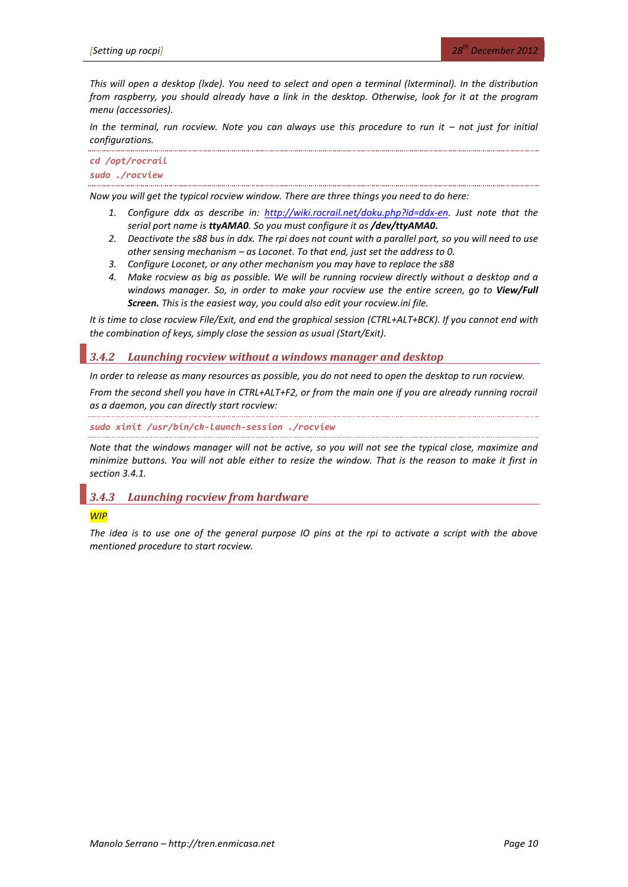*This will open a desktop (lxde). You need to select and open a terminal (lxterminal). In the distribution from raspberry, you should already have a link in the desktop. Otherwise, look for it at the program menu (accessories).*

*In the terminal, run rocview. Note you can always use this procedure to run it – not just for initial configurations.*

*cd /opt/rocrail sudo ./rocview*

*Now you will get the typical rocview window. There are three things you need to do here:*

- *1. Configure ddx as describe in: [http://wiki.rocrail.net/doku.php?id=ddx-en.](http://wiki.rocrail.net/doku.php?id=ddx-en) Just note that the serial port name is ttyAMA0. So you must configure it as /dev/ttyAMA0.*
- *2. Deactivate the s88 bus in ddx. The rpi does not count with a parallel port, so you will need to use other sensing mechanism – as Loconet. To that end, just set the address to 0.*
- *3. Configure Loconet, or any other mechanism you may have to replace the s88*
- *4. Make rocview as big as possible. We will be running rocview directly without a desktop and a windows manager. So, in order to make your rocview use the entire screen, go to View/Full Screen. This is the easiest way, you could also edit your rocview.ini file.*

*It is time to close rocview File/Exit, and end the graphical session (CTRL+ALT+BCK). If you cannot end with the combination of keys, simply close the session as usual (Start/Exit).*

## *3.4.2 Launching rocview without a windows manager and desktop*

*In order to release as many resources as possible, you do not need to open the desktop to run rocview.*

*From the second shell you have in CTRL+ALT+F2, or from the main one if you are already running rocrail as a daemon, you can directly start rocview:*

*sudo xinit /usr/bin/ck-launch-session ./rocview*

*Note that the windows manager will not be active, so you will not see the typical close, maximize and minimize buttons. You will not able either to resize the window. That is the reason to make it first in section [3.4.1.](#page-8-0)*

## *3.4.3 Launching rocview from hardware*

#### *WIP*

*The idea is to use one of the general purpose IO pins at the rpi to activate a script with the above mentioned procedure to start rocview.*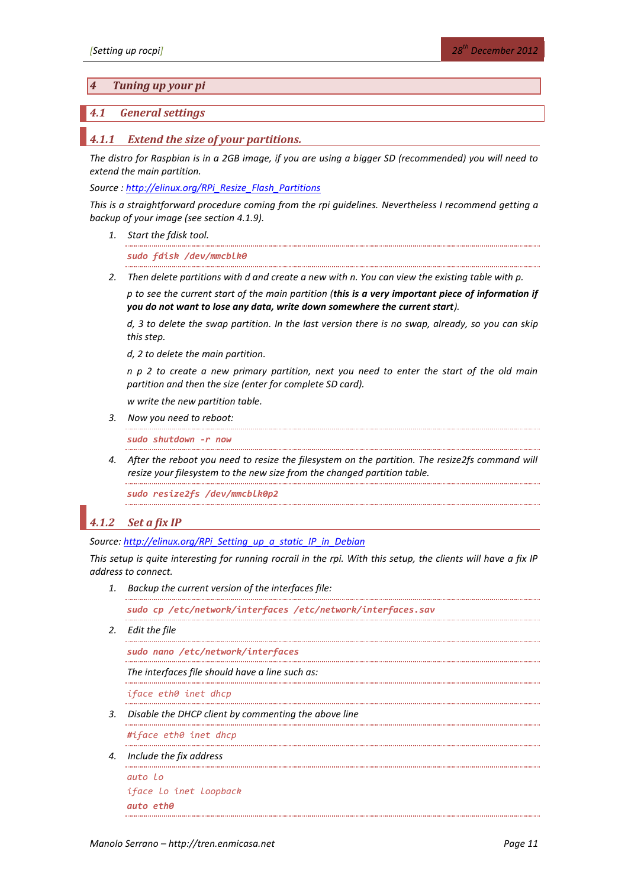## *4 Tuning up your pi*

## <span id="page-10-0"></span>*4.1 General settings*

#### *4.1.1 Extend the size of your partitions.*

*The distro for Raspbian is in a 2GB image, if you are using a bigger SD (recommended) you will need to extend the main partition.*

*Source [: http://elinux.org/RPi\\_Resize\\_Flash\\_Partitions](http://elinux.org/RPi_Resize_Flash_Partitions)*

*This is a straightforward procedure coming from the rpi guidelines. Nevertheless I recommend getting a backup of your image (see sectio[n 4.1.9\)](#page-14-0).*

*1. Start the fdisk tool.*

*sudo fdisk /dev/mmcblk0*

*2. Then delete partitions with d and create a new with n. You can view the existing table with p.*

*p to see the current start of the main partition (this is a very important piece of information if you do not want to lose any data, write down somewhere the current start).*

*d, 3 to delete the swap partition. In the last version there is no swap, already, so you can skip this step.*

*d, 2 to delete the main partition.*

*n p 2 to create a new primary partition, next you need to enter the start of the old main partition and then the size (enter for complete SD card).* 

*w write the new partition table.*

*3. Now you need to reboot:*

*sudo shutdown -r now*

*4. After the reboot you need to resize the filesystem on the partition. The resize2fs command will resize your filesystem to the new size from the changed partition table.*

*sudo resize2fs /dev/mmcblk0p2*

## <span id="page-10-1"></span>*4.1.2 Set a fix IP*

*Source: [http://elinux.org/RPi\\_Setting\\_up\\_a\\_static\\_IP\\_in\\_Debian](http://elinux.org/RPi_Setting_up_a_static_IP_in_Debian)*

*This setup is quite interesting for running rocrail in the rpi. With this setup, the clients will have a fix IP address to connect.* 

*1. Backup the current version of the interfaces file:*

*sudo cp /etc/network/interfaces /etc/network/interfaces.sav* 

*2. Edit the file*

```
sudo nano /etc/network/interfaces
```
*The interfaces file should have a line such as:*

*iface eth0 inet dhcp*

*3. Disable the DHCP client by commenting the above line*

*#iface eth0 inet dhcp*

*4. Include the fix address*

```
auto lo
iface lo inet loopback
auto eth0
```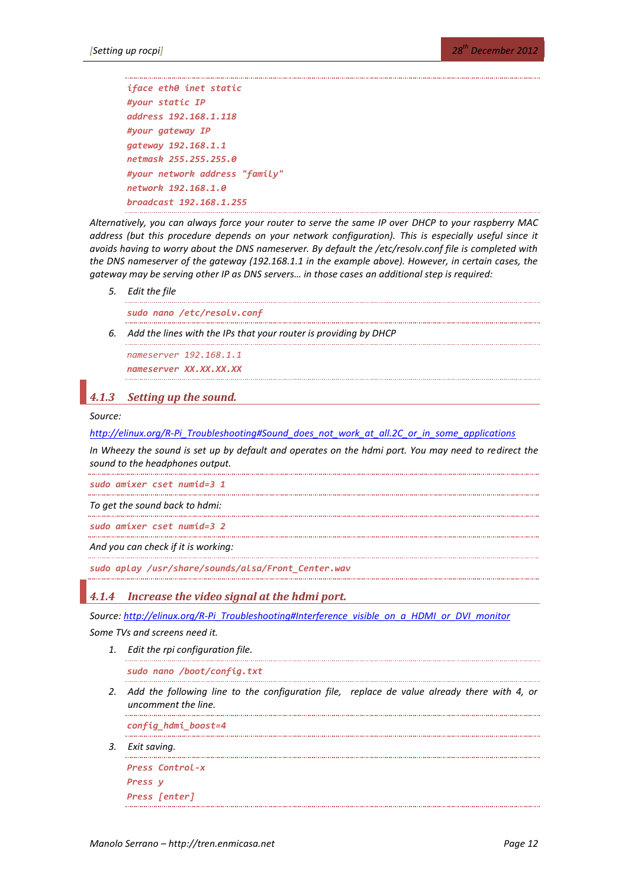```
iface eth0 inet static
#your static IP
address 192.168.1.118 
#your gateway IP
gateway 192.168.1.1
netmask 255.255.255.0
#your network address "family"
network 192.168.1.0
broadcast 192.168.1.255
```
*Alternatively, you can always force your router to serve the same IP over DHCP to your raspberry MAC address (but this procedure depends on your network configuration). This is especially useful since it avoids having to worry about the DNS nameserver. By default the /etc/resolv.conf file is completed with the DNS nameserver of the gateway (192.168.1.1 in the example above). However, in certain cases, the gateway may be serving other IP as DNS servers… in those cases an additional step is required:*

*5. Edit the file*

*sudo nano /etc/resolv.conf*

*6. Add the lines with the IPs that your router is providing by DHCP*

*nameserver 192.168.1.1 nameserver XX.XX.XX.XX*

## <span id="page-11-0"></span>*4.1.3 Setting up the sound.*

#### *Source:*

*[http://elinux.org/R-Pi\\_Troubleshooting#Sound\\_does\\_not\\_work\\_at\\_all.2C\\_or\\_in\\_some\\_applications](http://elinux.org/R-Pi_Troubleshooting#Sound_does_not_work_at_all.2C_or_in_some_applications)*

*In Wheezy the sound is set up by default and operates on the hdmi port. You may need to redirect the sound to the headphones output.*

*sudo amixer cset numid=3 1*

*To get the sound back to hdmi:*

*sudo amixer cset numid=3 2* . . . . . . . . . . . .

*And you can check if it is working:*

*sudo aplay /usr/share/sounds/alsa/Front\_Center.wav*

*4.1.4 Increase the video signal at the hdmi port.* 

*Source: [http://elinux.org/R-Pi\\_Troubleshooting#Interference\\_visible\\_on\\_a\\_HDMI\\_or\\_DVI\\_monitor](http://elinux.org/R-Pi_Troubleshooting#Interference_visible_on_a_HDMI_or_DVI_monitor)*

*Some TVs and screens need it.* 

*1. Edit the rpi configuration file.*

*sudo nano /boot/config.txt*

*2. Add the following line to the configuration file, replace de value already there with 4, or uncomment the line.*

*config\_hdmi\_boost=4*

*3. Exit saving.*

```
Press Control-x
Press y
Press [enter]
```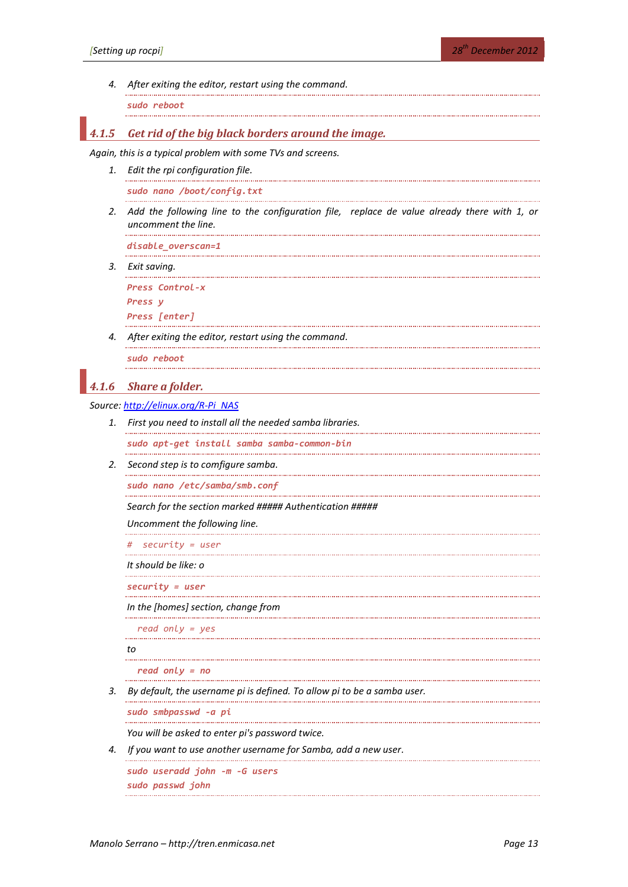*4. After exiting the editor, restart using the command.*

*sudo reboot*

## *4.1.5 Get rid of the big black borders around the image.*

*Again, this is a typical problem with some TVs and screens.*

*1. Edit the rpi configuration file.*

*sudo nano /boot/config.txt*

*2. Add the following line to the configuration file, replace de value already there with 1, or uncomment the line.*

*disable\_overscan=1*

*3. Exit saving.*

*Press Control-x Press y Press [enter]*

. . . . . . . . . . . . . . . .

*4. After exiting the editor, restart using the command.*

*sudo reboot*

## *4.1.6 Share a folder.*

*Source: [http://elinux.org/R-Pi\\_NAS](http://elinux.org/R-Pi_NAS)*

*1. First you need to install all the needed samba libraries.*

*sudo apt-get install samba samba-common-bin* . . . . . . . . . . . . . .

*2. Second step is to comfigure samba.*

*sudo nano /etc/samba/smb.conf*

*Search for the section marked ##### Authentication #####*

*Uncomment the following line.*

*# security = user*

*It should be like: o*

*security = user*

*In the [homes] section, change from*

 *read only = yes*

*to*

```
 read only = no
```
*3. By default, the username pi is defined. To allow pi to be a samba user.*

*sudo smbpasswd -a pi*

*You will be asked to enter pi's password twice.*

*4. If you want to use another username for Samba, add a new user.*

*sudo useradd john -m -G users sudo passwd john*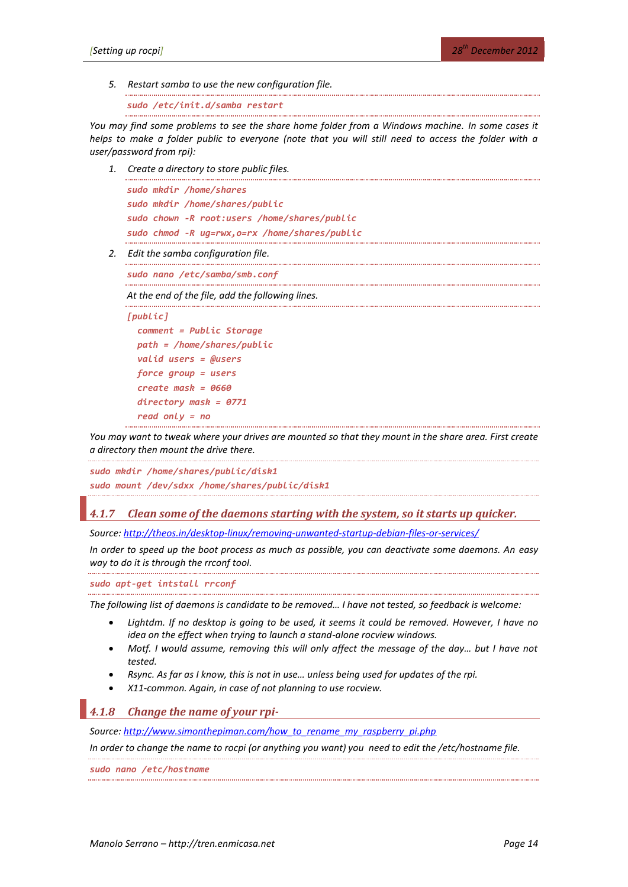*5. Restart samba to use the new configuration file.*

```
sudo /etc/init.d/samba restart
```
*You may find some problems to see the share home folder from a Windows machine. In some cases it helps to make a folder public to everyone (note that you will still need to access the folder with a user/password from rpi):*

*1. Create a directory to store public files.*

```
sudo mkdir /home/shares
sudo mkdir /home/shares/public
sudo chown -R root:users /home/shares/public
sudo chmod -R ug=rwx,o=rx /home/shares/public
```
*2. Edit the samba configuration file.*

*sudo nano /etc/samba/smb.conf*

*At the end of the file, add the following lines.*

```
[public]
   comment = Public Storage
   path = /home/shares/public
   valid users = @users
   force group = users
   create mask = 0660
   directory mask = 0771
   read only = no
```
*You may want to tweak where your drives are mounted so that they mount in the share area. First create a directory then mount the drive there.*

```
sudo mkdir /home/shares/public/disk1
sudo mount /dev/sdxx /home/shares/public/disk1
```
## *4.1.7 Clean some of the daemons starting with the system, so it starts up quicker.*

*Source:<http://theos.in/desktop-linux/removing-unwanted-startup-debian-files-or-services/>*

*In order to speed up the boot process as much as possible, you can deactivate some daemons. An easy way to do it is through the rrconf tool.*

*sudo apt-get intstall rrconf*

*The following list of daemons is candidate to be removed… I have not tested, so feedback is welcome:*

- Lightdm. If no desktop is going to be used, it seems it could be removed. However, I have no *idea on the effect when trying to launch a stand-alone rocview windows.*
- Motf. I would assume, removing this will only affect the message of the day... but I have not *tested.*
- *Rsync. As far as I know, this is not in use… unless being used for updates of the rpi.*
- *X11-common. Again, in case of not planning to use rocview.*

# *4.1.8 Change the name of your rpi-*

*Source: [http://www.simonthepiman.com/how\\_to\\_rename\\_my\\_raspberry\\_pi.php](http://www.simonthepiman.com/how_to_rename_my_raspberry_pi.php)*

*In order to change the name to rocpi (or anything you want) you need to edit the /etc/hostname file.*

*sudo nano /etc/hostname*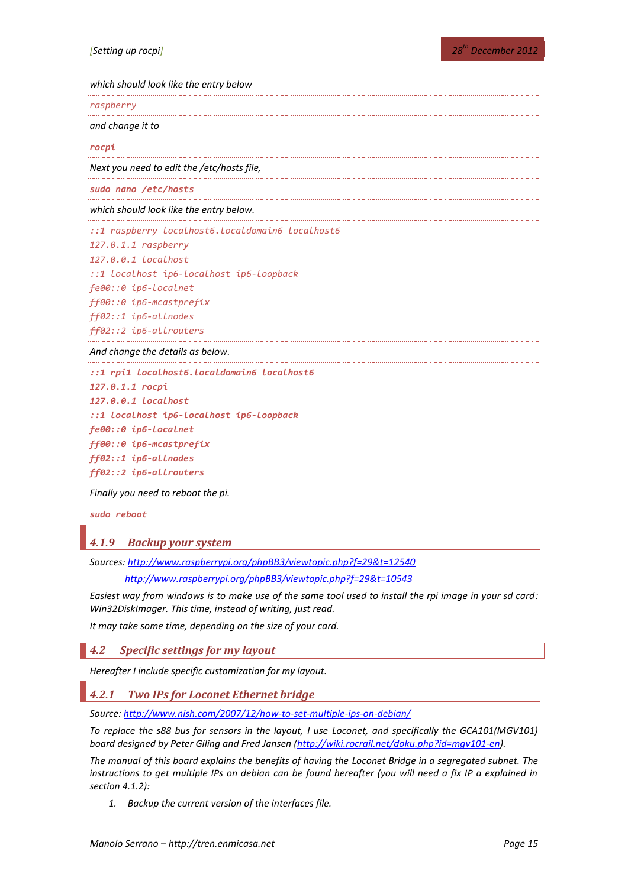*which should look like the entry below*

*raspberry*

*and change it to*

*rocpi*

*Next you need to edit the /etc/hosts file,*

*sudo nano /etc/hosts*

*which should look like the entry below.*

*::1 raspberry localhost6.localdomain6 localhost6*

*127.0.1.1 raspberry*

*127.0.0.1 localhost*

*::1 localhost ip6-localhost ip6-loopback*

*fe00::0 ip6-localnet*

*ff00::0 ip6-mcastprefix*

*ff02::1 ip6-allnodes*

*ff02::2 ip6-allrouters*

*And change the details as below.* 

*::1 rpi1 localhost6.localdomain6 localhost6*

```
127.0.1.1 rocpi
127.0.0.1 localhost
::1 localhost ip6-localhost ip6-loopback
fe00::0 ip6-localnet
ff00::0 ip6-mcastprefix
ff02::1 ip6-allnodes
ff02::2 ip6-allrouters
```
*Finally you need to reboot the pi.*

*sudo reboot*

## <span id="page-14-0"></span>*4.1.9 Backup your system*

*Sources:<http://www.raspberrypi.org/phpBB3/viewtopic.php?f=29&t=12540>*

*<http://www.raspberrypi.org/phpBB3/viewtopic.php?f=29&t=10543>*

*Easiest way from windows is to make use of the same tool used to install the rpi image in your sd card: Win32DiskImager. This time, instead of writing, just read.*

*It may take some time, depending on the size of your card.*

*4.2 Specific settings for my layout*

*Hereafter I include specific customization for my layout.*

*4.2.1 Two IPs for Loconet Ethernet bridge*

*Source:<http://www.nish.com/2007/12/how-to-set-multiple-ips-on-debian/>*

*To replace the s88 bus for sensors in the layout, I use Loconet, and specifically the GCA101(MGV101) board designed by Peter Giling and Fred Jansen [\(http://wiki.rocrail.net/doku.php?id=mgv101-en\)](http://wiki.rocrail.net/doku.php?id=mgv101-en).* 

*The manual of this board explains the benefits of having the Loconet Bridge in a segregated subnet. The instructions to get multiple IPs on debian can be found hereafter (you will need a fix IP a explained in section [4.1.2\)](#page-10-1):*

*1. Backup the current version of the interfaces file.*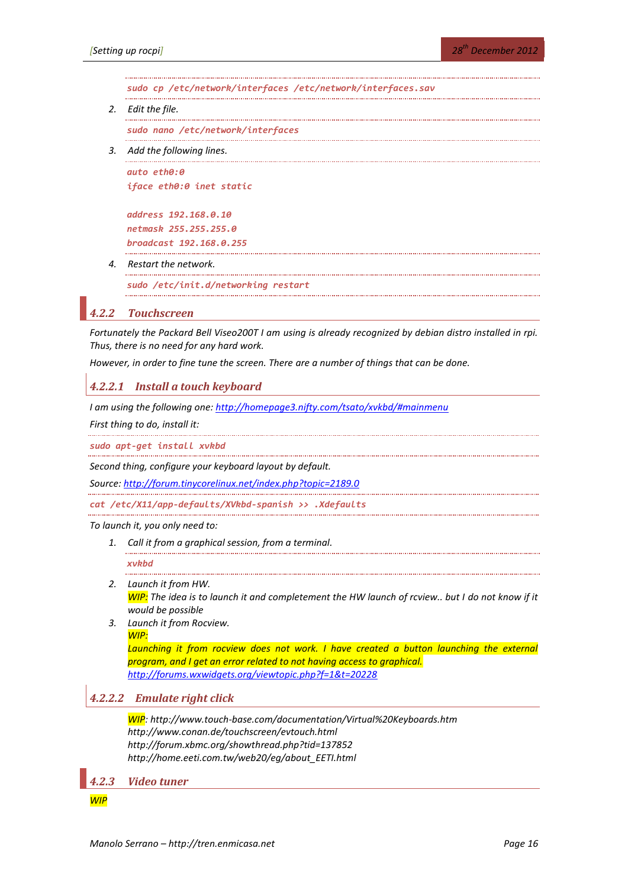*sudo cp /etc/network/interfaces /etc/network/interfaces.sav*

*2. Edit the file.*

*sudo nano /etc/network/interfaces*

*3. Add the following lines.*

*auto eth0:0 iface eth0:0 inet static*

*address 192.168.0.10 netmask 255.255.255.0 broadcast 192.168.0.255*

*4. Restart the network.*

*sudo /etc/init.d/networking restart*

### *4.2.2 Touchscreen*

*Fortunately the Packard Bell Viseo200T I am using is already recognized by debian distro installed in rpi. Thus, there is no need for any hard work.*

*However, in order to fine tune the screen. There are a number of things that can be done.*

## *4.2.2.1 Install a touch keyboard*

*I am using the following one: <http://homepage3.nifty.com/tsato/xvkbd/#mainmenu>*

*First thing to do, install it:*

*sudo apt-get install xvkbd*

*Second thing, configure your keyboard layout by default.*

*Source:<http://forum.tinycorelinux.net/index.php?topic=2189.0>*

*cat /etc/X11/app-defaults/XVkbd-spanish >> .Xdefaults*

*To launch it, you only need to:*

*1. Call it from a graphical session, from a terminal.*

#### *xvkbd*

- *2. Launch it from HW. WIP: The idea is to launch it and completement the HW launch of rcview.. but I do not know if it would be possible*
- *3. Launch it from Rocview. WIP:*

Launching it from rocview does not work. I have created a button launching the external *program, and I get an error related to not having access to graphical. <http://forums.wxwidgets.org/viewtopic.php?f=1&t=20228>*

## *4.2.2.2 Emulate right click*

*WIP: http://www.touch-base.com/documentation/Virtual%20Keyboards.htm http://www.conan.de/touchscreen/evtouch.html http://forum.xbmc.org/showthread.php?tid=137852 http://home.eeti.com.tw/web20/eg/about\_EETI.html*

*4.2.3 Video tuner*

*WIP*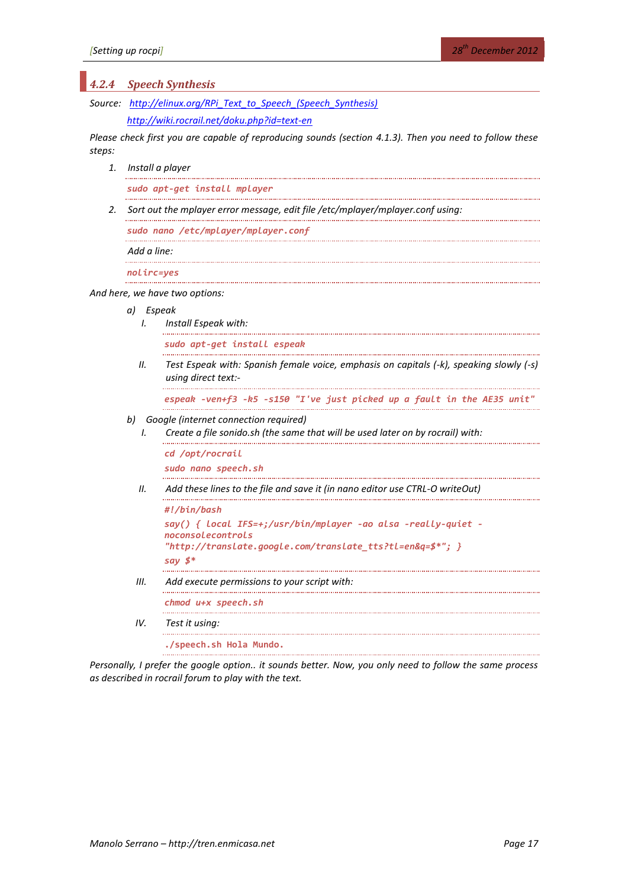| 4.2.4                                                                                                             | <b>Speech Synthesis</b>                                                        |                                                                                                                                                                                   |
|-------------------------------------------------------------------------------------------------------------------|--------------------------------------------------------------------------------|-----------------------------------------------------------------------------------------------------------------------------------------------------------------------------------|
|                                                                                                                   | Source: http://elinux.org/RPi Text to Speech (Speech Synthesis)                |                                                                                                                                                                                   |
|                                                                                                                   | http://wiki.rocrail.net/doku.php?id=text-en                                    |                                                                                                                                                                                   |
| Please check first you are capable of reproducing sounds (section 4.1.3). Then you need to follow these<br>steps: |                                                                                |                                                                                                                                                                                   |
| 1.                                                                                                                | Install a player                                                               |                                                                                                                                                                                   |
|                                                                                                                   | sudo apt-get install mplayer                                                   |                                                                                                                                                                                   |
| 2.                                                                                                                | Sort out the mplayer error message, edit file /etc/mplayer/mplayer.conf using: |                                                                                                                                                                                   |
|                                                                                                                   | sudo nano /etc/mplayer/mplayer.conf                                            |                                                                                                                                                                                   |
|                                                                                                                   | Add a line:                                                                    |                                                                                                                                                                                   |
|                                                                                                                   | nolirc=yes                                                                     |                                                                                                                                                                                   |
| And here, we have two options:                                                                                    |                                                                                |                                                                                                                                                                                   |
|                                                                                                                   | a) Espeak<br>I.                                                                | Install Espeak with:                                                                                                                                                              |
|                                                                                                                   |                                                                                | sudo apt-get install espeak                                                                                                                                                       |
|                                                                                                                   | Н.                                                                             | Test Espeak with: Spanish female voice, emphasis on capitals (-k), speaking slowly (-s)<br>using direct text:-                                                                    |
|                                                                                                                   |                                                                                | espeak -ven+f3 -k5 -s150 "I've just picked up a fault in the AE35 unit'                                                                                                           |
|                                                                                                                   | b)<br>I.                                                                       | Google (internet connection required)<br>Create a file sonido.sh (the same that will be used later on by rocrail) with:                                                           |
|                                                                                                                   |                                                                                | cd /opt/rocrail<br>sudo nano speech.sh                                                                                                                                            |
|                                                                                                                   | Н.                                                                             | Add these lines to the file and save it (in nano editor use CTRL-O writeOut)                                                                                                      |
|                                                                                                                   |                                                                                | #!/bin/bash<br>say() {        local IFS=+;/usr/bin/mplayer -ao alsa -really-quiet -<br>noconsolecontrols<br>"http://translate.google.com/translate_tts?tl=en&q=\$*"; }<br>say \$* |
|                                                                                                                   | Ш.                                                                             | Add execute permissions to your script with:                                                                                                                                      |
|                                                                                                                   |                                                                                | chmod u+x speech.sh                                                                                                                                                               |
|                                                                                                                   | IV.                                                                            | Test it using:                                                                                                                                                                    |
|                                                                                                                   |                                                                                | ./speech.sh Hola Mundo.                                                                                                                                                           |

*Personally, I prefer the google option.. it sounds better. Now, you only need to follow the same process as described in rocrail forum to play with the text.*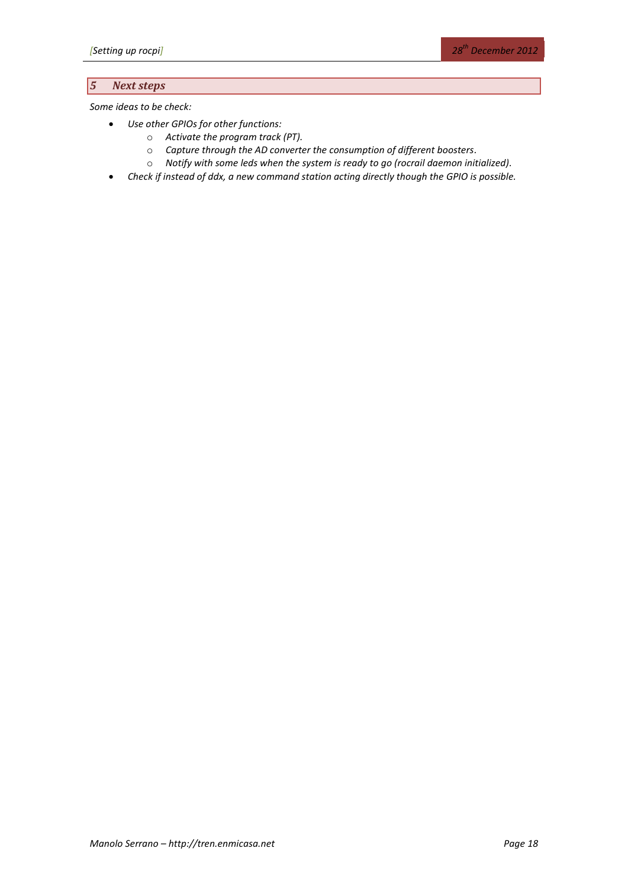# *5 Next steps*

*Some ideas to be check:*

- *Use other GPIOs for other functions:*
	- o *Activate the program track (PT).*
	- o *Capture through the AD converter the consumption of different boosters.*
	- o *Notify with some leds when the system is ready to go (rocrail daemon initialized).*
- *Check if instead of ddx, a new command station acting directly though the GPIO is possible.*